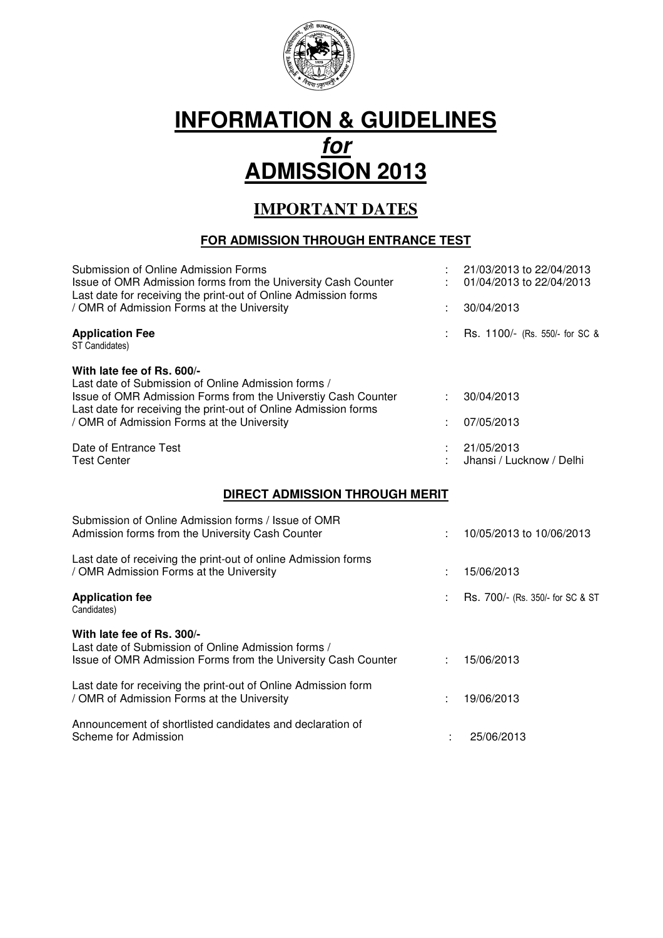

# **INFORMATION & GUIDELINES for ADMISSION 2013**

# **IMPORTANT DATES**

# **FOR ADMISSION THROUGH ENTRANCE TEST**

| Submission of Online Admission Forms<br>Issue of OMR Admission forms from the University Cash Counter<br>Last date for receiving the print-out of Online Admission forms                                              |  | 21/03/2013 to 22/04/2013<br>01/04/2013 to 22/04/2013 |  |  |
|-----------------------------------------------------------------------------------------------------------------------------------------------------------------------------------------------------------------------|--|------------------------------------------------------|--|--|
| / OMR of Admission Forms at the University                                                                                                                                                                            |  | 30/04/2013                                           |  |  |
| <b>Application Fee</b><br>ST Candidates)                                                                                                                                                                              |  | Rs. 1100/- (Rs. 550/- for SC &                       |  |  |
| With late fee of Rs. 600/-<br>Last date of Submission of Online Admission forms /<br>Issue of OMR Admission Forms from the Universtiy Cash Counter<br>Last date for receiving the print-out of Online Admission forms |  | 30/04/2013                                           |  |  |
| / OMR of Admission Forms at the University                                                                                                                                                                            |  | 07/05/2013                                           |  |  |
| Date of Entrance Test<br><b>Test Center</b>                                                                                                                                                                           |  | 21/05/2013<br>Jhansi / Lucknow / Delhi               |  |  |
| DIRECT ADMISSION THROUGH MERIT                                                                                                                                                                                        |  |                                                      |  |  |
| Submission of Online Admission forms / Issue of OMR<br>Admission forms from the University Cash Counter                                                                                                               |  | 10/05/2013 to 10/06/2013                             |  |  |
| Last date of receiving the print-out of online Admission forms<br>/ OMR Admission Forms at the University                                                                                                             |  | 15/06/2013                                           |  |  |
| <b>Application fee</b><br>Candidates)                                                                                                                                                                                 |  | Rs. 700/- (Rs. 350/- for SC & ST                     |  |  |
| With late fee of Rs. 300/-<br>Last date of Submission of Online Admission forms /<br>Issue of OMR Admission Forms from the University Cash Counter                                                                    |  | 15/06/2013                                           |  |  |
| Last date for receiving the print-out of Online Admission form<br>/ OMR of Admission Forms at the University                                                                                                          |  | 19/06/2013                                           |  |  |
| Announcement of shortlisted candidates and declaration of<br>Scheme for Admission                                                                                                                                     |  |                                                      |  |  |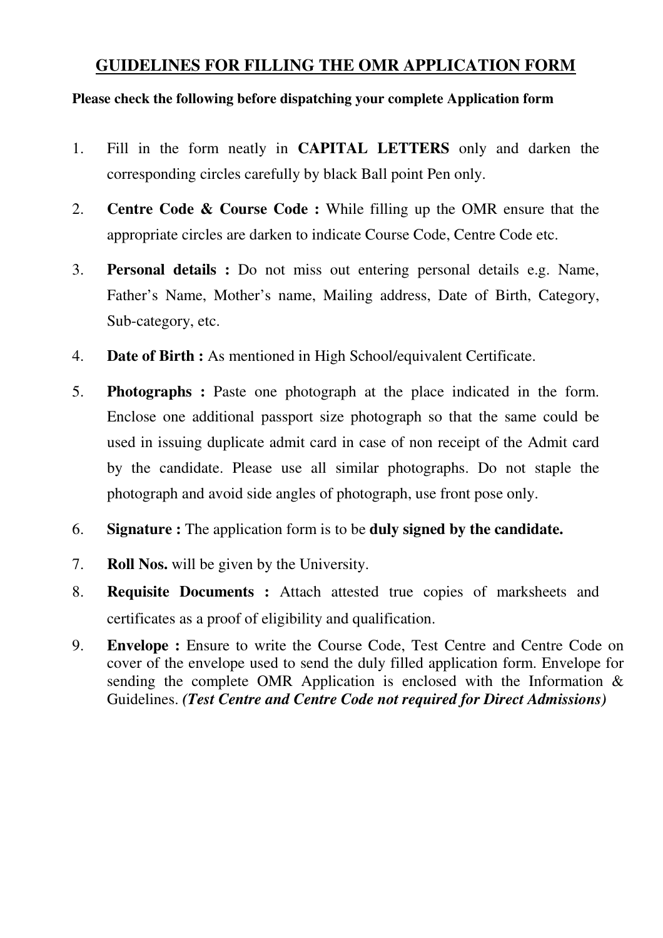## **GUIDELINES FOR FILLING THE OMR APPLICATION FORM**

#### **Please check the following before dispatching your complete Application form**

- 1. Fill in the form neatly in **CAPITAL LETTERS** only and darken the corresponding circles carefully by black Ball point Pen only.
- 2. **Centre Code & Course Code :** While filling up the OMR ensure that the appropriate circles are darken to indicate Course Code, Centre Code etc.
- 3. **Personal details :** Do not miss out entering personal details e.g. Name, Father's Name, Mother's name, Mailing address, Date of Birth, Category, Sub-category, etc.
- 4. **Date of Birth :** As mentioned in High School/equivalent Certificate.
- 5. **Photographs :** Paste one photograph at the place indicated in the form. Enclose one additional passport size photograph so that the same could be used in issuing duplicate admit card in case of non receipt of the Admit card by the candidate. Please use all similar photographs. Do not staple the photograph and avoid side angles of photograph, use front pose only.
- 6. **Signature :** The application form is to be **duly signed by the candidate.**
- 7. **Roll Nos.** will be given by the University.
- 8. **Requisite Documents :** Attach attested true copies of marksheets and certificates as a proof of eligibility and qualification.
- 9. **Envelope :** Ensure to write the Course Code, Test Centre and Centre Code on cover of the envelope used to send the duly filled application form. Envelope for sending the complete OMR Application is enclosed with the Information & Guidelines. *(Test Centre and Centre Code not required for Direct Admissions)*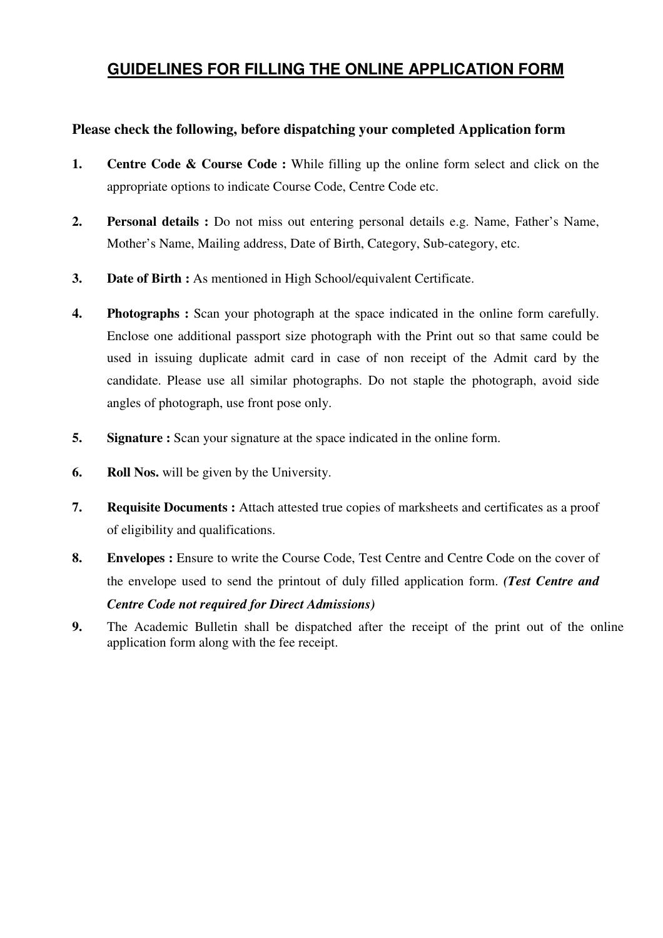## **GUIDELINES FOR FILLING THE ONLINE APPLICATION FORM**

#### **Please check the following, before dispatching your completed Application form**

- **1. Centre Code & Course Code :** While filling up the online form select and click on the appropriate options to indicate Course Code, Centre Code etc.
- **2. Personal details :** Do not miss out entering personal details e.g. Name, Father's Name, Mother's Name, Mailing address, Date of Birth, Category, Sub-category, etc.
- **3. Date of Birth :** As mentioned in High School/equivalent Certificate.
- **4.** Photographs : Scan your photograph at the space indicated in the online form carefully. Enclose one additional passport size photograph with the Print out so that same could be used in issuing duplicate admit card in case of non receipt of the Admit card by the candidate. Please use all similar photographs. Do not staple the photograph, avoid side angles of photograph, use front pose only.
- **5.** Signature : Scan your signature at the space indicated in the online form.
- **6. Roll Nos.** will be given by the University.
- **7. Requisite Documents :** Attach attested true copies of marksheets and certificates as a proof of eligibility and qualifications.
- **8. Envelopes :** Ensure to write the Course Code, Test Centre and Centre Code on the cover of the envelope used to send the printout of duly filled application form. *(Test Centre and Centre Code not required for Direct Admissions)*
- **9.** The Academic Bulletin shall be dispatched after the receipt of the print out of the online application form along with the fee receipt.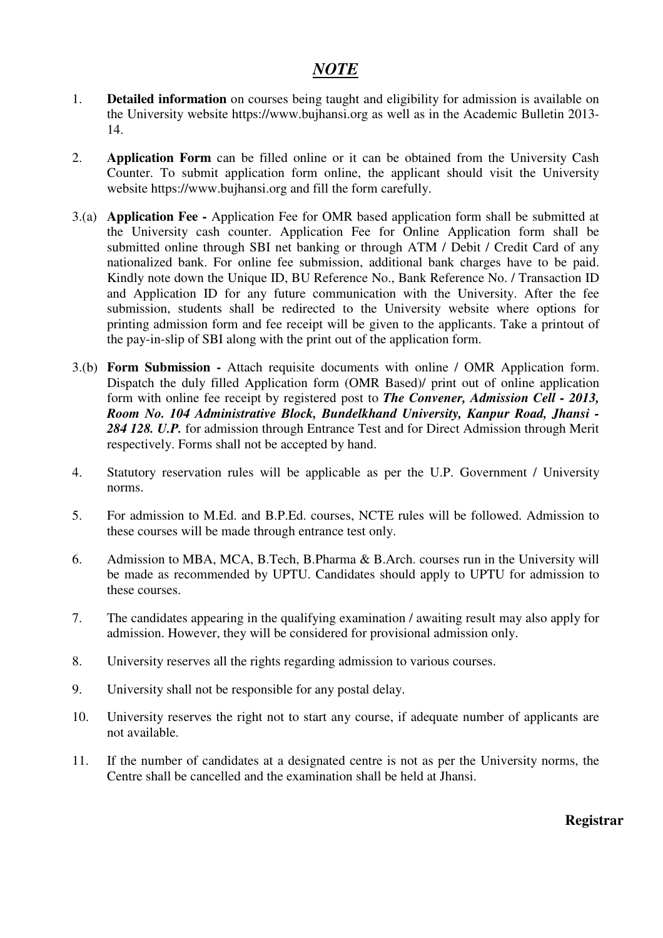### *NOTE*

- 1. **Detailed information** on courses being taught and eligibility for admission is available on the University website https://www.bujhansi.org as well as in the Academic Bulletin 2013- 14.
- 2. **Application Form** can be filled online or it can be obtained from the University Cash Counter. To submit application form online, the applicant should visit the University website https://www.bujhansi.org and fill the form carefully.
- 3.(a) **Application Fee -** Application Fee for OMR based application form shall be submitted at the University cash counter. Application Fee for Online Application form shall be submitted online through SBI net banking or through ATM / Debit / Credit Card of any nationalized bank. For online fee submission, additional bank charges have to be paid. Kindly note down the Unique ID, BU Reference No., Bank Reference No. / Transaction ID and Application ID for any future communication with the University. After the fee submission, students shall be redirected to the University website where options for printing admission form and fee receipt will be given to the applicants. Take a printout of the pay-in-slip of SBI along with the print out of the application form.
- 3.(b) **Form Submission -** Attach requisite documents with online / OMR Application form. Dispatch the duly filled Application form (OMR Based)/ print out of online application form with online fee receipt by registered post to *The Convener, Admission Cell - 2013, Room No. 104 Administrative Block, Bundelkhand University, Kanpur Road, Jhansi - 284 128. U.P.* for admission through Entrance Test and for Direct Admission through Merit respectively. Forms shall not be accepted by hand.
- 4. Statutory reservation rules will be applicable as per the U.P. Government / University norms.
- 5. For admission to M.Ed. and B.P.Ed. courses, NCTE rules will be followed. Admission to these courses will be made through entrance test only.
- 6. Admission to MBA, MCA, B.Tech, B.Pharma & B.Arch. courses run in the University will be made as recommended by UPTU. Candidates should apply to UPTU for admission to these courses.
- 7. The candidates appearing in the qualifying examination / awaiting result may also apply for admission. However, they will be considered for provisional admission only.
- 8. University reserves all the rights regarding admission to various courses.
- 9. University shall not be responsible for any postal delay.
- 10. University reserves the right not to start any course, if adequate number of applicants are not available.
- 11. If the number of candidates at a designated centre is not as per the University norms, the Centre shall be cancelled and the examination shall be held at Jhansi.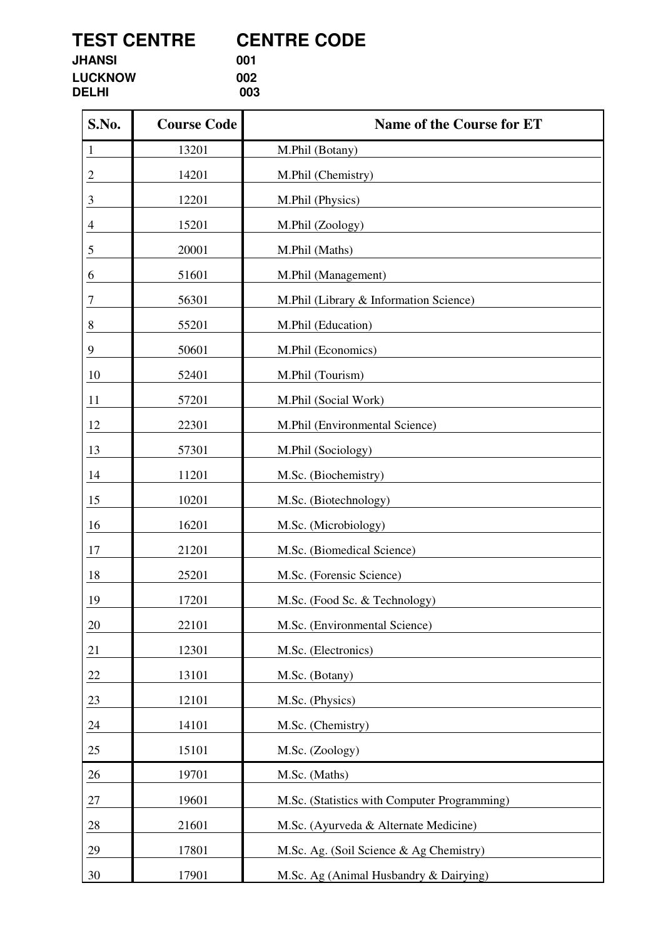**TEST CENTRE CENTRE CODE**<br> **CENTRE CODE**<br> **OO1** 

**JHANSI** 001<br>
LUCKNOW 002 **LUCKNOW 002**<br> **DELHI** 003 **DELHI 003**

| S.No.          | <b>Course Code</b> | <b>Name of the Course for ET</b>             |  |  |
|----------------|--------------------|----------------------------------------------|--|--|
| 1              | 13201              | M.Phil (Botany)                              |  |  |
| 2              | 14201              | M.Phil (Chemistry)                           |  |  |
| 3              | 12201              | M.Phil (Physics)                             |  |  |
| $\overline{4}$ | 15201              | M.Phil (Zoology)                             |  |  |
| 5              | 20001              | M.Phil (Maths)                               |  |  |
| 6              | 51601              | M.Phil (Management)                          |  |  |
| 7              | 56301              | M.Phil (Library & Information Science)       |  |  |
| 8              | 55201              | M.Phil (Education)                           |  |  |
| 9              | 50601              | M.Phil (Economics)                           |  |  |
| 10             | 52401              | M.Phil (Tourism)                             |  |  |
| 11             | 57201              | M.Phil (Social Work)                         |  |  |
| 12             | 22301              | M.Phil (Environmental Science)               |  |  |
| 13             | 57301              | M.Phil (Sociology)                           |  |  |
| 14             | 11201              | M.Sc. (Biochemistry)                         |  |  |
| 15             | 10201              | M.Sc. (Biotechnology)                        |  |  |
| 16             | 16201              | M.Sc. (Microbiology)                         |  |  |
| 17             | 21201              | M.Sc. (Biomedical Science)                   |  |  |
| 18             | 25201              | M.Sc. (Forensic Science)                     |  |  |
| 19             | 17201              | M.Sc. (Food Sc. & Technology)                |  |  |
| 20             | 22101              | M.Sc. (Environmental Science)                |  |  |
| 21             | 12301              | M.Sc. (Electronics)                          |  |  |
| 22             | 13101              | M.Sc. (Botany)                               |  |  |
| 23             | 12101              | M.Sc. (Physics)                              |  |  |
| 24             | 14101              | M.Sc. (Chemistry)                            |  |  |
| 25             | 15101              | M.Sc. (Zoology)                              |  |  |
| 26             | 19701              | M.Sc. (Maths)                                |  |  |
| $27\,$         | 19601              | M.Sc. (Statistics with Computer Programming) |  |  |
| 28             | 21601              | M.Sc. (Ayurveda & Alternate Medicine)        |  |  |
| 29             | 17801              | M.Sc. Ag. (Soil Science & Ag Chemistry)      |  |  |
| 30             | 17901              | M.Sc. Ag (Animal Husbandry & Dairying)       |  |  |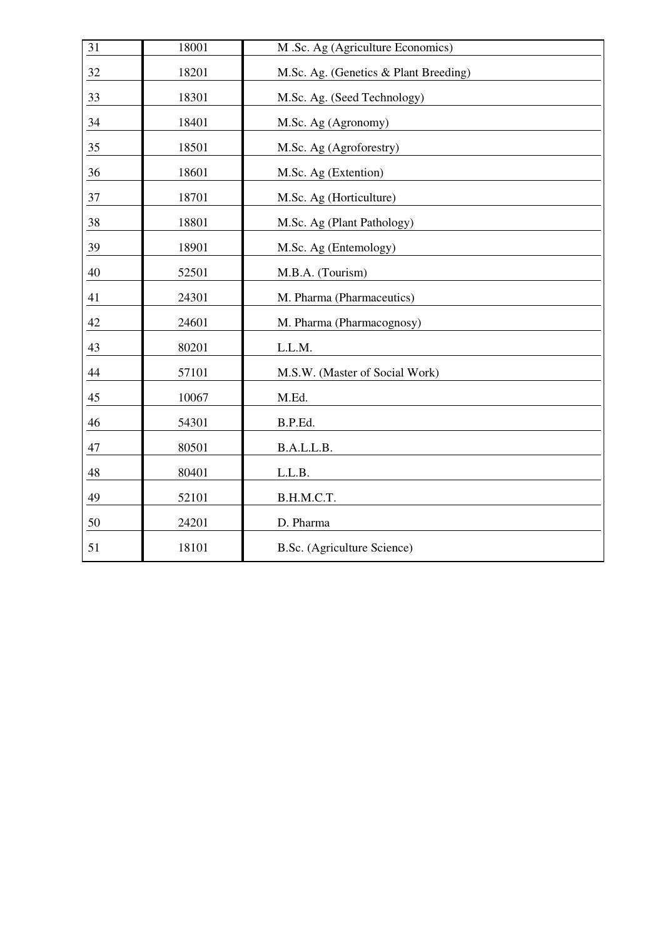| 31 | 18001 | M .Sc. Ag (Agriculture Economics)     |
|----|-------|---------------------------------------|
| 32 | 18201 | M.Sc. Ag. (Genetics & Plant Breeding) |
| 33 | 18301 | M.Sc. Ag. (Seed Technology)           |
| 34 | 18401 | M.Sc. Ag (Agronomy)                   |
| 35 | 18501 | M.Sc. Ag (Agroforestry)               |
| 36 | 18601 | M.Sc. Ag (Extention)                  |
| 37 | 18701 | M.Sc. Ag (Horticulture)               |
| 38 | 18801 | M.Sc. Ag (Plant Pathology)            |
| 39 | 18901 | M.Sc. Ag (Entemology)                 |
| 40 | 52501 | M.B.A. (Tourism)                      |
| 41 | 24301 | M. Pharma (Pharmaceutics)             |
| 42 | 24601 | M. Pharma (Pharmacognosy)             |
| 43 | 80201 | L.L.M.                                |
| 44 | 57101 | M.S.W. (Master of Social Work)        |
| 45 | 10067 | M.Ed.                                 |
| 46 | 54301 | B.P.Ed.                               |
| 47 | 80501 | B.A.L.L.B.                            |
| 48 | 80401 | L.L.B.                                |
| 49 | 52101 | B.H.M.C.T.                            |
| 50 | 24201 | D. Pharma                             |
| 51 | 18101 | B.Sc. (Agriculture Science)           |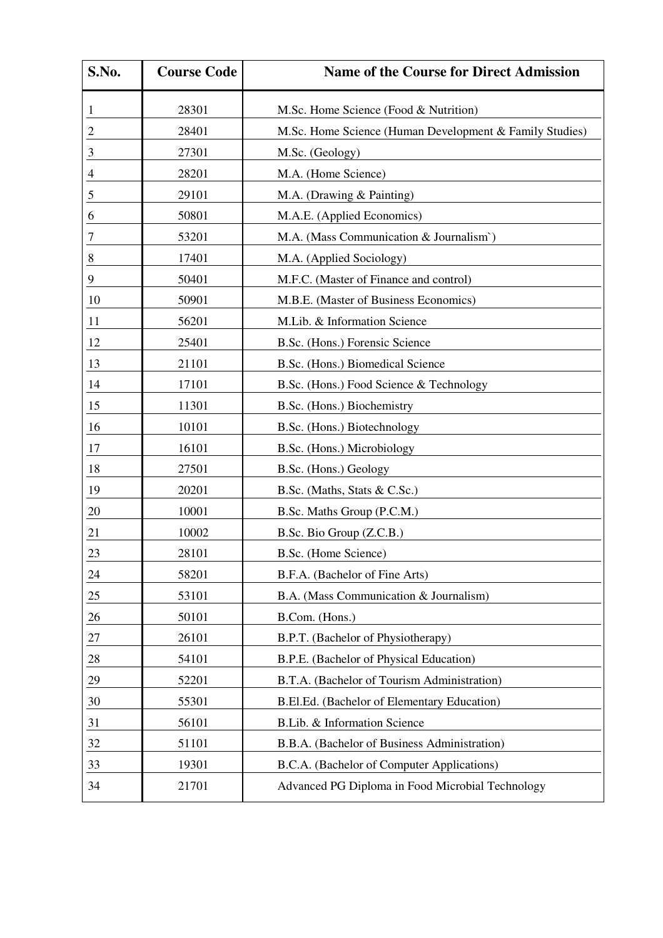| S.No.          | <b>Course Code</b> | <b>Name of the Course for Direct Admission</b>          |  |  |
|----------------|--------------------|---------------------------------------------------------|--|--|
| 1              | 28301              | M.Sc. Home Science (Food & Nutrition)                   |  |  |
| $\mathfrak{2}$ | 28401              | M.Sc. Home Science (Human Development & Family Studies) |  |  |
| 3              | 27301              | M.Sc. (Geology)                                         |  |  |
| 4              | 28201              | M.A. (Home Science)                                     |  |  |
| 5              | 29101              | M.A. (Drawing & Painting)                               |  |  |
| 6              | 50801              | M.A.E. (Applied Economics)                              |  |  |
| 7              | 53201              | M.A. (Mass Communication & Journalism`)                 |  |  |
| 8              | 17401              | M.A. (Applied Sociology)                                |  |  |
| 9              | 50401              | M.F.C. (Master of Finance and control)                  |  |  |
| 10             | 50901              | M.B.E. (Master of Business Economics)                   |  |  |
| 11             | 56201              | M.Lib. & Information Science                            |  |  |
| 12             | 25401              | B.Sc. (Hons.) Forensic Science                          |  |  |
| 13             | 21101              | B.Sc. (Hons.) Biomedical Science                        |  |  |
| 14             | 17101              | B.Sc. (Hons.) Food Science & Technology                 |  |  |
| 15             | 11301              | B.Sc. (Hons.) Biochemistry                              |  |  |
| 16             | 10101              | B.Sc. (Hons.) Biotechnology                             |  |  |
| 17             | 16101              | B.Sc. (Hons.) Microbiology                              |  |  |
| 18             | 27501              | B.Sc. (Hons.) Geology                                   |  |  |
| 19             | 20201              | B.Sc. (Maths, Stats & C.Sc.)                            |  |  |
| 20             | 10001              | B.Sc. Maths Group (P.C.M.)                              |  |  |
| 21             | 10002              | B.Sc. Bio Group (Z.C.B.)                                |  |  |
| 23             | 28101              | B.Sc. (Home Science)                                    |  |  |
| 24             | 58201              | B.F.A. (Bachelor of Fine Arts)                          |  |  |
| 25             | 53101              | B.A. (Mass Communication & Journalism)                  |  |  |
| 26             | 50101              | B.Com. (Hons.)                                          |  |  |
| 27             | 26101              | B.P.T. (Bachelor of Physiotherapy)                      |  |  |
| 28             | 54101              | B.P.E. (Bachelor of Physical Education)                 |  |  |
| 29             | 52201              | B.T.A. (Bachelor of Tourism Administration)             |  |  |
| 30             | 55301              | B.El.Ed. (Bachelor of Elementary Education)             |  |  |
| 31             | 56101              | B.Lib. & Information Science                            |  |  |
| 32             | 51101              | B.B.A. (Bachelor of Business Administration)            |  |  |
| 33             | 19301              | B.C.A. (Bachelor of Computer Applications)              |  |  |
| 34             | 21701              | Advanced PG Diploma in Food Microbial Technology        |  |  |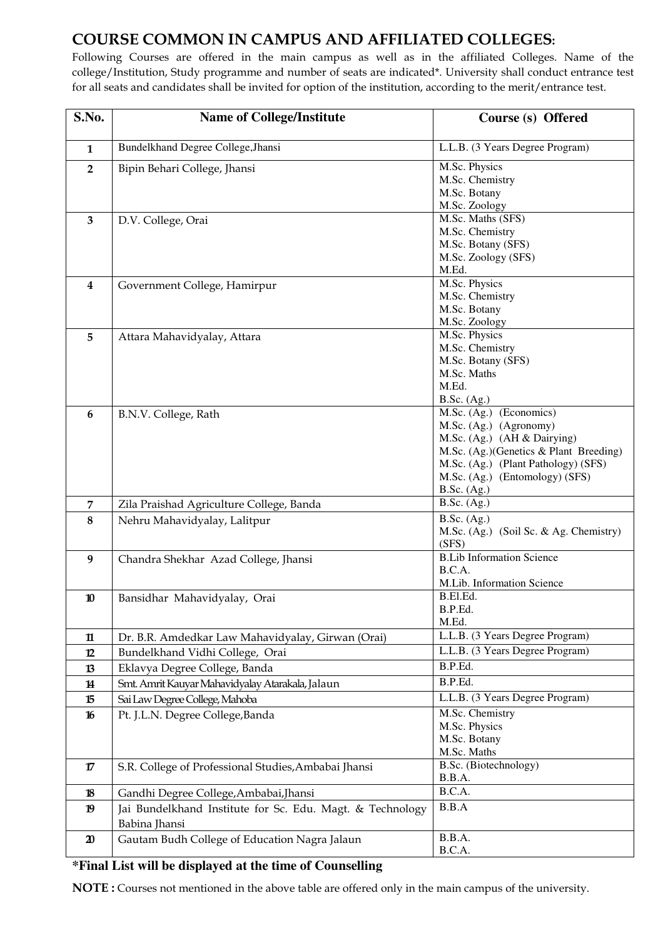# COURSE COMMON IN CAMPUS AND AFFILIATED COLLEGES:

Following Courses are offered in the main campus as well as in the affiliated Colleges. Name of the college/Institution, Study programme and number of seats are indicated\*. University shall conduct entrance test for all seats and candidates shall be invited for option of the institution, according to the merit/entrance test.

| S.No.                       | <b>Name of College/Institute</b>                                           | Course (s) Offered                                                                                                                                                                                                 |
|-----------------------------|----------------------------------------------------------------------------|--------------------------------------------------------------------------------------------------------------------------------------------------------------------------------------------------------------------|
| $\mathbf{1}$                | Bundelkhand Degree College, Jhansi                                         | L.L.B. (3 Years Degree Program)                                                                                                                                                                                    |
| $\overline{2}$              | Bipin Behari College, Jhansi                                               | M.Sc. Physics<br>M.Sc. Chemistry<br>M.Sc. Botany<br>M.Sc. Zoology                                                                                                                                                  |
| $\overline{\mathbf{3}}$     | D.V. College, Orai                                                         | M.Sc. Maths (SFS)<br>M.Sc. Chemistry<br>M.Sc. Botany (SFS)<br>M.Sc. Zoology (SFS)<br>M.Ed.                                                                                                                         |
| $\overline{\mathbf{4}}$     | Government College, Hamirpur                                               | M.Sc. Physics<br>M.Sc. Chemistry<br>M.Sc. Botany<br>M.Sc. Zoology                                                                                                                                                  |
| 5                           | Attara Mahavidyalay, Attara                                                | M.Sc. Physics<br>M.Sc. Chemistry<br>M.Sc. Botany (SFS)<br>M.Sc. Maths<br>M.Ed.<br><b>B.Sc.</b> (Ag.)                                                                                                               |
| 6                           | B.N.V. College, Rath                                                       | M.Sc. (Ag.) (Economics)<br>M.Sc. (Ag.) (Agronomy)<br>M.Sc. (Ag.) (AH & Dairying)<br>M.Sc. (Ag.)(Genetics & Plant Breeding)<br>M.Sc. (Ag.) (Plant Pathology) (SFS)<br>M.Sc. (Ag.) (Entomology) (SFS)<br>B.Sc. (Ag.) |
| $\overline{7}$              | Zila Praishad Agriculture College, Banda                                   | <b>B.Sc.</b> (Ag.)                                                                                                                                                                                                 |
| 8                           | Nehru Mahavidyalay, Lalitpur                                               | B.Sc. (Ag.)<br>M.Sc. (Ag.) (Soil Sc. & Ag. Chemistry)<br>(SFS)                                                                                                                                                     |
| 9                           | Chandra Shekhar Azad College, Jhansi                                       | <b>B.Lib Information Science</b><br>B.C.A.<br>M.Lib. Information Science                                                                                                                                           |
| 10                          | Bansidhar Mahavidyalay, Orai                                               | B.El.Ed.<br>B.P.Ed.<br>M.Ed.                                                                                                                                                                                       |
| $\mathbf n$                 | Dr. B.R. Amdedkar Law Mahavidyalay, Girwan (Orai)                          | L.L.B. (3 Years Degree Program)                                                                                                                                                                                    |
| 12                          | Bundelkhand Vidhi College, Orai                                            | L.L.B. (3 Years Degree Program)                                                                                                                                                                                    |
| 13                          | Eklavya Degree College, Banda                                              | B.P.Ed.                                                                                                                                                                                                            |
| 14                          | Smt. Amrit Kauyar Mahavidyalay Atarakala, Jalaun                           | B.P.Ed.                                                                                                                                                                                                            |
| 15                          | Sai Law Degree College, Mahoba                                             | L.L.B. (3 Years Degree Program)                                                                                                                                                                                    |
| 16                          | Pt. J.L.N. Degree College, Banda                                           | M.Sc. Chemistry<br>M.Sc. Physics<br>M.Sc. Botany<br>M.Sc. Maths                                                                                                                                                    |
| 17                          | S.R. College of Professional Studies, Ambabai Jhansi                       | B.Sc. (Biotechnology)<br>B.B.A.                                                                                                                                                                                    |
| 18                          | Gandhi Degree College, Ambabai, Jhansi                                     | B.C.A.                                                                                                                                                                                                             |
| 19                          | Jai Bundelkhand Institute for Sc. Edu. Magt. & Technology<br>Babina Jhansi | B.B.A                                                                                                                                                                                                              |
| $\boldsymbol{\mathfrak{D}}$ | Gautam Budh College of Education Nagra Jalaun                              | B.B.A.<br>B.C.A.                                                                                                                                                                                                   |

#### **\*Final List will be displayed at the time of Counselling**

NOTE : Courses not mentioned in the above table are offered only in the main campus of the university.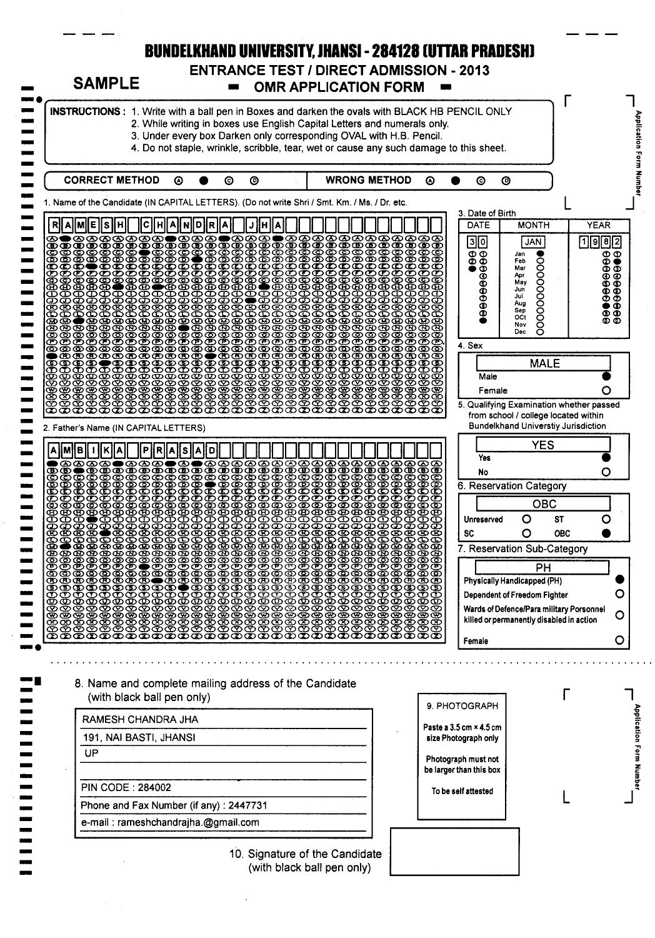